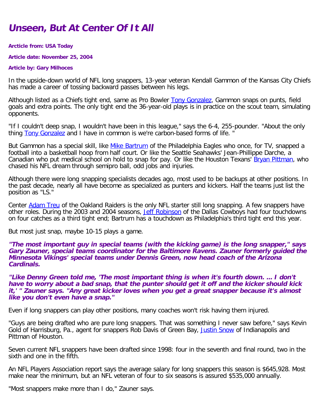# **Unseen, But At Center Of It All**

### **Arcticle from: USA Today**

**Article date: November 25, 2004**

### **Article by: Gary Milhoces**

In the upside-down world of NFL long snappers, 13-year veteran Kendall Gammon of the Kansas City Chiefs has made a career of tossing backward passes between his legs.

Although listed as a Chiefs tight end, same as Pro Bowler [Tony Gonzalez](http://fantasyfootball.usatoday.com/index.php?sport=pftball&type=profile&name=687), Gammon snaps on punts, field goals and extra points. The only tight end the 36-year-old plays is in practice on the scout team, simulating opponents.

"If I couldn't deep snap, I wouldn't have been in this league," says the 6-4, 255-pounder. "About the only thing **Tony Gonzalez** and I have in common is we're carbon-based forms of life.

But Gammon has a special skill, like [Mike Bartrum](http://fantasyfootball.usatoday.com/index.php?sport=pftball&type=profile&name=860) of the Philadelphia Eagles who once, for TV, snapped a football into a basketball hoop from half court. Or like the Seattle Seahawks' Jean-Phillippe Darche, a Canadian who put medical school on hold to snap for pay. Or like the Houston Texans' [Bryan Pittman,](http://fantasyfootball.usatoday.com/index.php?sport=pftball&type=profile&name=5200) who chased his NFL dream through semipro ball, odd jobs and injuries.

Although there were long snapping specialists decades ago, most used to be backups at other positions. In the past decade, nearly all have become as specialized as punters and kickers. Half the teams just list the position as "LS."

Center [Adam Treu](http://fantasyfootball.usatoday.com/index.php?sport=pftball&type=profile&name=1755) of the Oakland Raiders is the only NFL starter still long snapping. A few snappers have other roles. During the 2003 and 2004 seasons, [Jeff Robinson](http://fantasyfootball.usatoday.com/index.php?sport=pftball&type=profile&name=1693) of the Dallas Cowboys had four touchdowns on four catches as a third tight end; Bartrum has a touchdown as Philadelphia's third tight end this year.

But most just snap, maybe 10-15 plays a game.

**"The most important guy in special teams (with the kicking game) is the long snapper," says Gary Zauner, special teams coordinator for the Baltimore Ravens. Zauner formerly guided the Minnesota Vikings' special teams under Dennis Green, now head coach of the Arizona Cardinals.**

**"Like Denny Green told me, 'The most important thing is when it's fourth down. ... I don't have to worry about a bad snap, that the punter should get it off and the kicker should kick it,' " Zauner says. "Any great kicker loves when you get a great snapper because it's almost like you don't even have a snap."**

Even if long snappers can play other positions, many coaches won't risk having them injured.

"Guys are being drafted who are pure long snappers. That was something I never saw before," says Kevin Gold of Harrisburg, Pa., agent for snappers Rob Davis of Green Bay, [Justin Snow](http://fantasyfootball.usatoday.com/index.php?sport=pftball&type=profile&name=3752) of Indianapolis and Pittman of Houston.

Seven current NFL snappers have been drafted since 1998: four in the seventh and final round, two in the sixth and one in the fifth.

An NFL Players Association report says the average salary for long snappers this season is \$645,928. Most make near the minimum, but an NFL veteran of four to six seasons is assured \$535,000 annually.

"Most snappers make more than I do," Zauner says.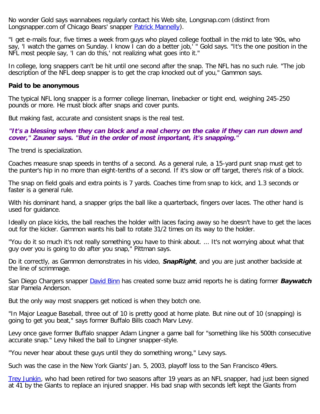No wonder Gold says wannabees regularly contact his Web site, Longsnap.com (distinct from Longsnapper.com of Chicago Bears' snapper **Patrick Mannelly**).

"I get e-mails four, five times a week from guys who played college football in the mid to late '90s, who say, 'I watch the games on Sunday. I know I can do a better job,' " Gold says. "It's the one position in the NFL most people say, 'I can do this,' not realizing what goes into it."

In college, long snappers can't be hit until one second after the snap. The NFL has no such rule. "The job description of the NFL deep snapper is to get the crap knocked out of you," Gammon says.

### **Paid to be anonymous**

The typical NFL long snapper is a former college lineman, linebacker or tight end, weighing 245-250 pounds or more. He must block after snaps and cover punts.

But making fast, accurate and consistent snaps is the real test.

**"It's a blessing when they can block and a real cherry on the cake if they can run down and cover," Zauner says. "But in the order of most important, it's snapping."**

The trend is specialization.

Coaches measure snap speeds in tenths of a second. As a general rule, a 15-yard punt snap must get to the punter's hip in no more than eight-tenths of a second. If it's slow or off target, there's risk of a block.

The snap on field goals and extra points is 7 yards. Coaches time from snap to kick, and 1.3 seconds or faster is a general rule.

With his dominant hand, a snapper grips the ball like a quarterback, fingers over laces. The other hand is used for guidance.

Ideally on place kicks, the ball reaches the holder with laces facing away so he doesn't have to get the laces out for the kicker. Gammon wants his ball to rotate 31/2 times on its way to the holder.

"You do it so much it's not really something you have to think about. ... It's not worrying about what that guy over you is going to do after you snap," Pittman says.

Do it correctly, as Gammon demonstrates in his video, **SnapRight**, and you are just another backside at the line of scrimmage.

San Diego Chargers snapper [David Binn](http://fantasyfootball.usatoday.com/index.php?sport=pftball&type=profile&name=1236) has created some buzz amid reports he is dating former **Baywatch** star Pamela Anderson.

But the only way most snappers get noticed is when they botch one.

"In Major League Baseball, three out of 10 is pretty good at home plate. But nine out of 10 (snapping) is going to get you beat," says former Buffalo Bills coach Marv Levy.

Levy once gave former Buffalo snapper Adam Lingner a game ball for "something like his 500th consecutive accurate snap." Levy hiked the ball to Lingner snapper-style.

"You never hear about these guys until they do something wrong," Levy says.

Such was the case in the New York Giants' Jan. 5, 2003, playoff loss to the San Francisco 49ers.

[Trey Junkin](http://fantasyfootball.usatoday.com/index.php?sport=pftball&type=profile&name=1143), who had been retired for two seasons after 19 years as an NFL snapper, had just been signed at 41 by the Giants to replace an injured snapper. His bad snap with seconds left kept the Giants from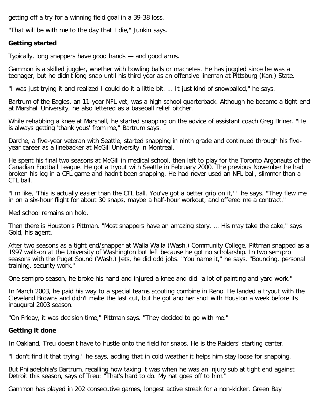getting off a try for a winning field goal in a 39-38 loss.

"That will be with me to the day that I die," Junkin says.

## **Getting started**

Typically, long snappers have good hands — and good arms.

Gammon is a skilled juggler, whether with bowling balls or machetes. He has juggled since he was a teenager, but he didn't long snap until his third year as an offensive lineman at Pittsburg (Kan.) State.

"I was just trying it and realized I could do it a little bit. ... It just kind of snowballed," he says.

Bartrum of the Eagles, an 11-year NFL vet, was a high school quarterback. Although he became a tight end at Marshall University, he also lettered as a baseball relief pitcher.

While rehabbing a knee at Marshall, he started snapping on the advice of assistant coach Greg Briner. "He is always getting 'thank yous' from me," Bartrum says.

Darche, a five-year veteran with Seattle, started snapping in ninth grade and continued through his fiveyear career as a linebacker at McGill University in Montreal.

He spent his final two seasons at McGill in medical school, then left to play for the Toronto Argonauts of the Canadian Football League. He got a tryout with Seattle in February 2000. The previous November he had broken his leg in a CFL game and hadn't been snapping. He had never used an NFL ball, slimmer than a CFL ball.

"I'm like, 'This is actually easier than the CFL ball. You've got a better grip on it,' " he says. "They flew me in on a six-hour flight for about 30 snaps, maybe a half-hour workout, and offered me a contract."

Med school remains on hold.

Then there is Houston's Pittman. "Most snappers have an amazing story. ... His may take the cake," says Gold, his agent.

After two seasons as a tight end/snapper at Walla Walla (Wash.) Community College, Pittman snapped as a 1997 walk-on at the University of Washington but left because he got no scholarship. In two semipro seasons with the Puget Sound (Wash.) Jets, he did odd jobs. "You name it," he says. "Bouncing, personal training, security work."

One semipro season, he broke his hand and injured a knee and did "a lot of painting and yard work."

In March 2003, he paid his way to a special teams scouting combine in Reno. He landed a tryout with the Cleveland Browns and didn't make the last cut, but he got another shot with Houston a week before its inaugural 2003 season.

"On Friday, it was decision time," Pittman says. "They decided to go with me."

# **Getting it done**

In Oakland, Treu doesn't have to hustle onto the field for snaps. He is the Raiders' starting center.

"I don't find it that trying," he says, adding that in cold weather it helps him stay loose for snapping.

But Philadelphia's Bartrum, recalling how taxing it was when he was an injury sub at tight end against Detroit this season, says of Treu: "That's hard to do. My hat goes off to him."

Gammon has played in 202 consecutive games, longest active streak for a non-kicker. Green Bay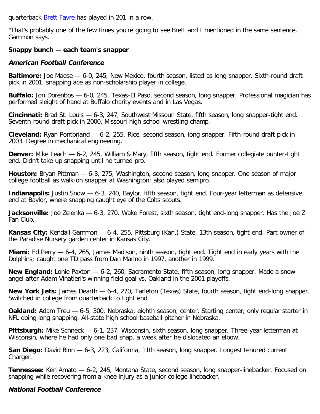quarterback **Brett Favre** has played in 201 in a row.

"That's probably one of the few times you're going to see Brett and I mentioned in the same sentence," Gammon says.

# **Snappy bunch — each team's snapper**

## **American Football Conference**

**Baltimore:** Joe Maese — 6-0, 245, New Mexico, fourth season, listed as long snapper. Sixth-round draft pick in 2001, snapping ace as non-scholarship player in college.

**Buffalo:** Jon Dorenbos — 6-0, 245, Texas-El Paso, second season, long snapper. Professional magician has performed sleight of hand at Buffalo charity events and in Las Vegas.

**Cincinnati:** Brad St. Louis — 6-3, 247, Southwest Missouri State, fifth season, long snapper-tight end. Seventh-round draft pick in 2000. Missouri high school wrestling champ.

**Cleveland:** Ryan Pontbriand — 6-2, 255, Rice, second season, long snapper. Fifth-round draft pick in 2003. Degree in mechanical engineering.

**Denver:** Mike Leach — 6-2, 245, William & Mary, fifth season, tight end. Former collegiate punter-tight end. Didn't take up snapping until he turned pro.

**Houston:** Bryan Pittman — 6-3, 275, Washington, second season, long snapper. One season of major college football as walk-on snapper at Washington; also played semipro.

**Indianapolis:** Justin Snow  $-$  6-3, 240, Baylor, fifth season, tight end. Four-year letterman as defensive end at Baylor, where snapping caught eye of the Colts scouts.

**Jacksonville:** Joe Zelenka — 6-3, 270, Wake Forest, sixth season, tight end-long snapper. Has the Joe Z Fan Club.

**Kansas City:** Kendall Gammon — 6-4, 255, Pittsburg (Kan.) State, 13th season, tight end. Part owner of the Paradise Nursery garden center in Kansas City.

**Miami:** Ed Perry — 6-4, 265, James Madison, ninth season, tight end. Tight end in early years with the Dolphins; caught one TD pass from Dan Marino in 1997, another in 1999.

**New England:** Lonie Paxton — 6-2, 260, Sacramento State, fifth season, long snapper. Made a snow angel after Adam Vinatieri's winning field goal vs. Oakland in the 2001 playoffs.

**New York Jets:** James Dearth — 6-4, 270, Tarleton (Texas) State, fourth season, tight end-long snapper. Switched in college from quarterback to tight end.

**Oakland:** Adam Treu — 6-5, 300, Nebraska, eighth season, center. Starting center; only regular starter in NFL doing long snapping. All-state high school baseball pitcher in Nebraska.

**Pittsburgh:** Mike Schneck — 6-1, 237, Wisconsin, sixth season, long snapper. Three-year letterman at Wisconsin, where he had only one bad snap, a week after he dislocated an elbow.

**San Diego:** David Binn — 6-3, 223, California, 11th season, long snapper. Longest tenured current Charger.

**Tennessee:** Ken Amato — 6-2, 245, Montana State, second season, long snapper-linebacker. Focused on snapping while recovering from a knee injury as a junior college linebacker.

# **National Football Conference**